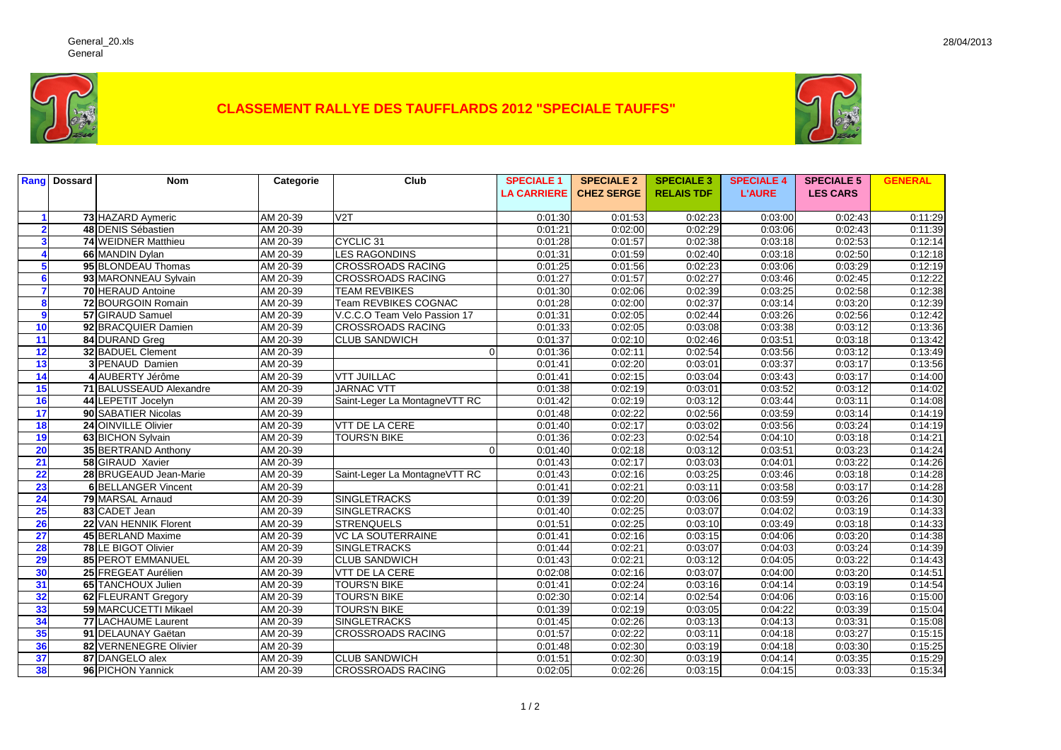

## **CLASSEMENT RALLYE DES TAUFFLARDS 2012 "SPECIALE TAUFFS"**



|                        | <b>Rang Dossard</b> | <b>Nom</b>                 | Categorie | Club                          | <b>SPECIALE 1</b>  | <b>SPECIALE 2</b> | <b>SPECIALE 3</b> | <b>SPECIALE 4</b> | <b>SPECIALE 5</b> | <b>GENERAL</b> |
|------------------------|---------------------|----------------------------|-----------|-------------------------------|--------------------|-------------------|-------------------|-------------------|-------------------|----------------|
|                        |                     |                            |           |                               | <b>LA CARRIERE</b> | <b>CHEZ SERGE</b> | <b>RELAIS TDF</b> | <b>L'AURE</b>     | <b>LES CARS</b>   |                |
|                        |                     | 73 HAZARD Aymeric          | AM 20-39  | $\overline{V2T}$              | 0:01:30            | 0:01:53           | 0:02:23           | 0:03:00           | 0:02:43           | 0:11:29        |
| $\mathbf{2}$           |                     | 48 DENIS Sébastien         | AM 20-39  |                               | 0:01:21            | 0:02:00           | 0:02:29           | 0:03:06           | 0:02:43           | 0:11:39        |
| $\mathbf{3}$           |                     | 74 WEIDNER Matthieu        | AM 20-39  | CYCLIC <sub>31</sub>          | 0:01:28            | 0:01:57           | 0:02:38           | 0:03:18           | 0:02:53           | 0:12:14        |
| $\boldsymbol{\Lambda}$ |                     | 66 MANDIN Dylan            | AM 20-39  | <b>LES RAGONDINS</b>          | 0:01:31            | 0:01:59           | 0:02:40           | 0:03:18           | 0:02:50           | 0:12:18        |
| 5                      |                     | 95 BLONDEAU Thomas         | AM 20-39  | <b>CROSSROADS RACING</b>      | 0:01:25            | 0:01:56           | 0:02:23           | 0:03:06           | 0:03:29           | 0:12:19        |
| 6                      |                     | 93 MARONNEAU Sylvain       | AM 20-39  | <b>CROSSROADS RACING</b>      | 0:01:27            | 0:01:57           | 0:02:27           | 0:03:46           | 0:02:45           | 0:12:22        |
| $\overline{7}$         |                     | <b>70 HERAUD Antoine</b>   | AM 20-39  | <b>TEAM REVBIKES</b>          | 0:01:30            | 0:02:06           | 0:02:39           | 0:03:25           | 0:02:58           | 0:12:38        |
| 8                      |                     | 72 BOURGOIN Romain         | AM 20-39  | <b>Team REVBIKES COGNAC</b>   | 0:01:28            | 0:02:00           | 0:02:37           | 0:03:14           | 0:03:20           | 0:12:39        |
| $\mathbf{9}$           |                     | 57 GIRAUD Samuel           | AM 20-39  | V.C.C.O Team Velo Passion 17  | 0:01:31            | 0:02:05           | 0:02:44           | 0:03:26           | 0:02:56           | 0:12:42        |
| 10                     |                     | 92 BRACQUIER Damien        | AM 20-39  | <b>CROSSROADS RACING</b>      | 0:01:33            | 0:02:05           | 0:03:08           | 0:03:38           | 0:03:12           | 0:13:36        |
| 11                     |                     | 84 DURAND Greg             | AM 20-39  | <b>CLUB SANDWICH</b>          | 0:01:37            | 0:02:10           | 0:02:46           | 0:03:51           | 0:03:18           | 0:13:42        |
| 12                     |                     | 32 BADUEL Clement          | AM 20-39  | $\Omega$                      | 0:01:36            | 0:02:11           | 0:02:54           | 0:03:56           | 0:03:12           | 0:13:49        |
| 13                     |                     | 3 PENAUD Damien            | AM 20-39  |                               | 0:01:41            | 0:02:20           | 0:03:01           | 0:03:37           | 0:03:17           | 0:13:56        |
| 14                     |                     | 4 AUBERTY Jérôme           | AM 20-39  | <b>VTT JUILLAC</b>            | 0:01:41            | 0:02:15           | 0:03:04           | 0:03:43           | 0:03:17           | 0:14:00        |
| 15                     |                     | 71 BALUSSEAUD Alexandre    | AM 20-39  | <b>JARNAC VTT</b>             | 0:01:38            | 0:02:19           | 0:03:01           | 0:03:52           | 0:03:12           | 0:14:02        |
| 16                     |                     | 44 LEPETIT Jocelyn         | AM 20-39  | Saint-Leger La MontagneVTT RC | 0:01:42            | 0:02:19           | 0:03:12           | 0:03:44           | 0:03:11           | 0:14:08        |
| 17                     |                     | 90 SABATIER Nicolas        | AM 20-39  |                               | 0:01:48            | 0:02:22           | 0:02:56           | 0:03:59           | 0:03:14           | 0:14:19        |
| 18                     |                     | 24 OINVILLE Olivier        | AM 20-39  | <b>VTT DE LA CERE</b>         | 0:01:40            | 0:02:17           | 0:03:02           | 0:03:56           | 0:03:24           | 0:14:19        |
| 19                     |                     | 63 BICHON Sylvain          | AM 20-39  | <b>TOURS'N BIKE</b>           | 0:01:36            | 0:02:23           | 0:02:54           | 0:04:10           | 0:03:18           | 0:14:21        |
| 20                     |                     | 35 BERTRAND Anthony        | AM 20-39  | $\Omega$                      | 0:01:40            | 0:02:18           | 0:03:12           | 0:03:51           | 0:03:23           | 0:14:24        |
| 21                     |                     | 58 GIRAUD Xavier           | AM 20-39  |                               | 0:01:43            | 0:02:17           | 0:03:03           | 0:04:01           | 0:03:22           | 0:14:26        |
| 22                     |                     | 28 BRUGEAUD Jean-Marie     | AM 20-39  | Saint-Leger La MontagneVTT RC | 0:01:43            | 0:02:16           | 0:03:25           | 0:03:46           | 0:03:18           | 0:14:28        |
| 23                     |                     | <b>6 BELLANGER Vincent</b> | AM 20-39  |                               | 0:01:41            | 0:02:21           | 0:03:11           | 0:03:58           | 0:03:17           | 0:14:28        |
| 24                     |                     | 79 MARSAL Arnaud           | AM 20-39  | <b>SINGLETRACKS</b>           | 0:01:39            | 0:02:20           | 0:03:06           | 0:03:59           | 0:03:26           | 0:14:30        |
| 25                     |                     | 83 CADET Jean              | AM 20-39  | <b>SINGLETRACKS</b>           | 0:01:40            | 0:02:25           | 0:03:07           | 0:04:02           | 0:03:19           | 0:14:33        |
| 26                     |                     | 22 VAN HENNIK Florent      | AM 20-39  | <b>STRENQUELS</b>             | 0:01:51            | 0:02:25           | 0:03:10           | 0:03:49           | 0:03:18           | 0:14:33        |
| $\overline{27}$        |                     | 45 BERLAND Maxime          | AM 20-39  | <b>VC LA SOUTERRAINE</b>      | 0:01:41            | 0:02:16           | 0:03:15           | 0:04:06           | 0:03:20           | 0:14:38        |
| 28                     |                     | <b>78 LE BIGOT Olivier</b> | AM 20-39  | <b>SINGLETRACKS</b>           | 0:01:44            | 0:02:21           | 0:03:07           | 0:04:03           | 0:03:24           | 0:14:39        |
| 29                     |                     | 85 PEROT EMMANUEL          | AM 20-39  | <b>CLUB SANDWICH</b>          | 0:01:43            | 0:02:21           | 0:03:12           | 0:04:05           | 0:03:22           | 0:14:43        |
| 30                     |                     | 25 FREGEAT Aurélien        | AM 20-39  | <b>VTT DE LA CERE</b>         | 0:02:08            | 0:02:16           | 0:03:07           | 0:04:00           | 0:03:20           | 0:14:51        |
| 31                     |                     | 65 TANCHOUX Julien         | AM 20-39  | <b>TOURS'N BIKE</b>           | 0:01:41            | 0:02:24           | 0:03:16           | 0:04:14           | 0:03:19           | 0:14:54        |
| 32                     |                     | 62 FLEURANT Gregory        | AM 20-39  | <b>TOURS'N BIKE</b>           | 0:02:30            | 0:02:14           | 0:02:54           | 0:04:06           | 0:03:16           | 0:15:00        |
| 33                     |                     | 59 MARCUCETTI Mikael       | AM 20-39  | <b>TOURS'N BIKE</b>           | 0:01:39            | 0:02:19           | 0:03:05           | 0:04:22           | 0:03:39           | 0:15:04        |
| 34                     |                     | 77 LACHAUME Laurent        | AM 20-39  | <b>SINGLETRACKS</b>           | 0:01:45            | 0:02:26           | 0:03:13           | 0:04:13           | 0:03:31           | 0:15:08        |
| 35                     |                     | 91 DELAUNAY Gaëtan         | AM 20-39  | <b>CROSSROADS RACING</b>      | 0:01:57            | 0:02:22           | 0:03:11           | 0:04:18           | 0:03:27           | 0:15:15        |
| 36                     |                     | 82 VERNENEGRE Olivier      | AM 20-39  |                               | 0:01:48            | 0:02:30           | 0:03:19           | 0:04:18           | 0:03:30           | 0:15:25        |
| 37                     |                     | 87 DANGELO alex            | AM 20-39  | <b>CLUB SANDWICH</b>          | 0:01:51            | 0:02:30           | 0:03:19           | 0:04:14           | 0:03:35           | 0:15:29        |
| 38                     |                     | 96 PICHON Yannick          | AM 20-39  | <b>CROSSROADS RACING</b>      | 0:02:05            | 0:02:26           | 0:03:15           | 0:04:15           | 0:03:33           | 0:15:34        |